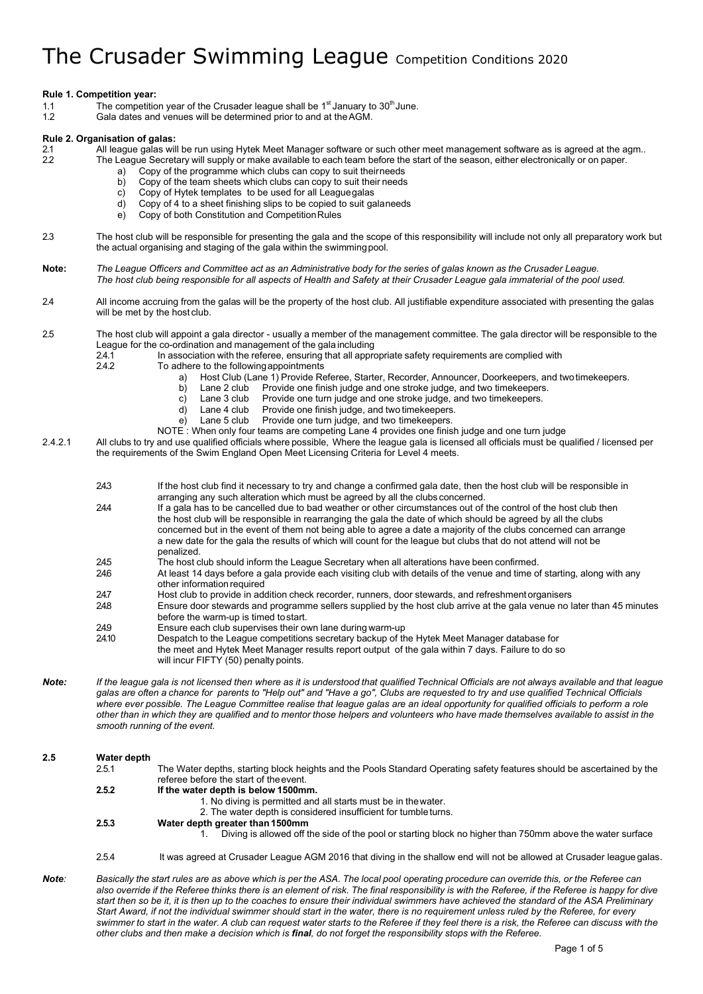### **Rule 1. Competition year:**

- 1.1 The competition year of the Crusader league shall be  $1<sup>st</sup>$  January to  $30<sup>th</sup>$  June.<br>12 Gala dates and venues will be determined prior to and at the AGM
- Gala dates and venues will be determined prior to and at the AGM.

# **Rule 2. Organisation of galas:**

All league galas will be run using Hytek Meet Manager software or such other meet management software as is agreed at the agm..

- 2.2 The League Secretary will supply or make available to each team before the start of the season, either electronically or on paper.
	- Copy of the programme which clubs can copy to suit theirneeds b) Copy of the team sheets which clubs can copy to suit their needs
	- c) Copy of Hytek templates to be used for all Leaguegalas
	- d) Copy of 4 to a sheet finishing slips to be copied to suit galaneeds
	- e) Copy of both Constitution and Competition Rules
- 2.3 The host club will be responsible for presenting the gala and the scope of this responsibility will include not only all preparatory work but the actual organising and staging of the gala within the swimming pool.
- Note: The League Officers and Committee act as an Administrative body for the series of galas known as the Crusader League. *The host club being responsible for all aspects of Health and Safety at their Crusader League gala immaterial of the pool used.*
- 2.4 All income accruing from the galas will be the property of the host club. All justifiable expenditure associated with presenting the galas will be met by the host club.

2.5 The host club will appoint a gala director - usually a member of the management committee. The gala director will be responsible to the League for the co-ordination and management of the gala including<br>24.1 In association with the referee, ensuring that all appro-

- 2.4.1 In association with the referee, ensuring that all appropriate safety requirements are complied with <br>2.4.2 To adhere to the following appointments
	- To adhere to the following appointments
		- a) Host Club (Lane 1) Provide Referee, Starter, Recorder, Announcer, Doorkeepers, and two timekeepers.<br>b) Lane 2 club Provide one finish judge and one stroke judge, and two timekeepers.
		- Provide one finish judge and one stroke judge, and two timekeepers.
		- c) Lane 3 club Provide one turn judge and one stroke judge, and two timekeepers.
		-
		- d) Lane 4 club Provide one finish judge, and two timekeepers.<br>e) Lane 5 club Provide one turn judge, and two timekeepers. Provide one turn judge, and two timekeepers.
		- NOTE : When only four teams are competing Lane 4 provides one finish judge and one turn judge

2.4.2.1 All clubs to try and use qualified officials where possible, Where the league gala is licensed all officials must be qualified / licensed per the requirements of the Swim England Open Meet Licensing Criteria for Level 4 meets.

- 2.4.3 If the host club find it necessary to try and change a confirmed gala date, then the host club will be responsible in arranging any such alteration which must be agreed by all the clubs concerned.
- 244 If a gala has to be cancelled due to bad weather or other circumstances out of the control of the host club then the host club will be responsible in rearranging the gala the date of which should be agreed by all the clubs concerned but in the event of them not being able to agree a date a majority of the clubs concerned can arrange a new date for the gala the results of which will count for the league but clubs that do not attend will not be penalized.
	-
- 24.5 The host club should inform the League Secretary when all alterations have been confirmed.<br>246 At least 14 days before a gala provide each visiting club with details of the venue and time o At least 14 days before a gala provide each visiting club with details of the venue and time of starting, along with any other information required
- 24.7 Host club to provide in addition check recorder, runners, door stewards, and refreshment organisers<br>248 Ensure door stewards and programme sellers supplied by the host club arrive at the gala venue no l
- 2.4.8 Ensure door stewards and programme sellers supplied by the host club arrive at the gala venue no later than 45 minutes before the warm-up is timed tostart.
- 249 Ensure each club supervises their own lane during warm-up<br>24.10 Despatch to the League competitions secretary backup of the
- 2.4.10 Despatch to the League competitions secretary backup of the Hytek Meet Manager database for the meet and Hytek Meet Manager results report output of the gala within 7 days. Failure to do so will incur FIFTY (50) penalty points.
- Note: If the league gala is not licensed then where as it is understood that qualified Technical Officials are not always available and that league *galas are often a chance for parents to "Help out" and "Have a go", Clubs are requested to try and use qualified Technical Officials where ever possible. The League Committee realise that league galas are an ideal opportunity for qualified officials to perform a role*  other than in which they are qualified and to mentor those helpers and volunteers who have made themselves available to assist in the *smooth running of the event.*

# **2.5 Water depth**

- The Water depths, starting block heights and the Pools Standard Operating safety features should be ascertained by the referee before the start of theevent.
	- **2.5.2 If the water depth is below 1500mm.**
		- 1. No diving is permitted and all starts must be in thewater.
			- 2. The water depth is considered insufficient for tumbleturns.
	- **2.5.3 Water depth greater than1500mm**
		- 1. Diving is allowed off the side of the pool or starting block no higher than 750mm above the water surface
	- 2.5.4 It was agreed at Crusader League AGM 2016 that diving in the shallow end will not be allowed at Crusader league galas.
- Note: Basically the start rules are as above which is per the ASA. The local pool operating procedure can override this, or the Referee can also override if the Referee thinks there is an element of risk. The final responsibility is with the Referee, if the Referee is happy for dive *start then so be it, it is then up to the coaches to ensure their individual swimmers have achieved the standard of the ASA Preliminary Start Award, if not the individual swimmer should start in the water, there is no requirement unless ruled by the Referee, for every*  swimmer to start in the water. A club can request water starts to the Referee if they feel there is a risk, the Referee can discuss with the *other clubs and then make a decision which is final, do not forget the responsibility stops with the Referee.*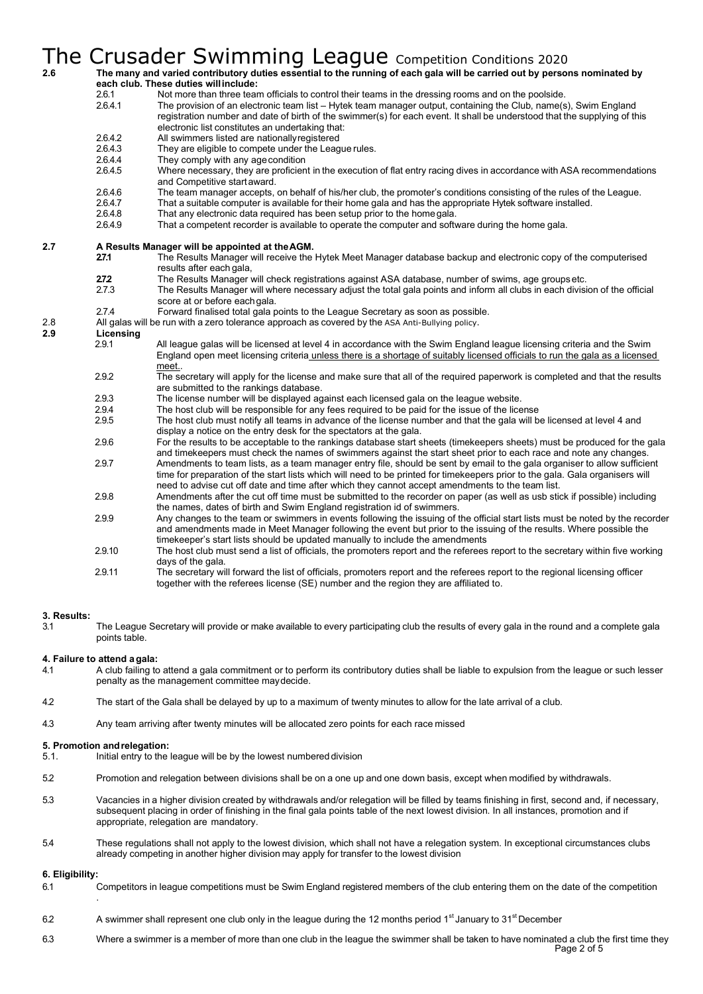# 2.6 The many and varied contributory duties essential to the running of each gala will be carried out by persons nominated by 2.6 **each club. These duties willinclude:**

- 2.6.1 Not more than three team officials to control their teams in the dressing rooms and on the poolside.<br>2.6.4.1 The provision of an electronic team list Hytek team manager output, containing the Club, name(s The provision of an electronic team list – Hytek team manager output, containing the Club, name(s), Swim England registration number and date of birth of the swimmer(s) for each event. It shall be understood that the supplying of this
	- electronic list constitutes an undertaking that:
- 2.6.4.2 All swimmers listed are nationally registered<br>2.6.4.3 They are eligible to compete under the League 2.6.4.3 They are eligible to compete under the League rules.<br>2.6.4.4 They comply with any age condition
- They comply with any age condition
- 2.6.4.5 Where necessary, they are proficient in the execution of flat entry racing dives in accordance with ASA recommendations and Competitive startaward.
- 2.6.4.6 The team manager accepts, on behalf of his/her club, the promoter's conditions consisting of the rules of the League.<br>2.6.4.7 That a suitable computer is available for their home gala and has the appropriate Hytek
- 2.6.4.7 That a suitable computer is available for their home gala and has the appropriate Hytek software installed.
- 2.6.4.8 That any electronic data required has been setup prior to the home gala.<br>2.6.4.9 That a competent recorder is available to operate the computer and soft
- That a competent recorder is available to operate the computer and software during the home gala.

# **2.7 A Results Manager will be appointed at the AGM.**<br>**27.1** The Results Manager will receive the

- **2.7.1** The Results Manager will receive the Hytek Meet Manager database backup and electronic copy of the computerised results after each gala,
- **2.7.2** The Results Manager will check registrations against ASA database, number of swims, age groupsetc.
- 2.7.3 The Results Manager will where necessary adjust the total gala points and inform all clubs in each division of the official score at or before eachgala.
- 2.7.4 Forward finalised total gala points to the League Secretary as soon as possible. 2.8 All galas will be run with a zero tolerance approach as covered by the ASA Anti-Bullying policy.

- **2.9 Licensing** All league galas will be licensed at level 4 in accordance with the Swim England league licensing criteria and the Swim England open meet licensing criteria unless there is a shortage of suitably licensed officials to run the gala as a licensed meet..
	- 2.9.2 The secretary will apply for the license and make sure that all of the required paperwork is completed and that the results are submitted to the rankings database.
	- 2.9.3 The license number will be displayed against each licensed gala on the league website.<br>2.9.4 The bost club will be responsible for any fees required to be paid for the issue of the lice
	- 2.9.4 The host club will be responsible for any fees required to be paid for the issue of the license<br>2.9.5 The host club must notify all teams in advance of the license number and that the gala will b
	- The host club must notify all teams in advance of the license number and that the gala will be licensed at level 4 and display a notice on the entry desk for the spectators at the gala.
	- 2.9.6 For the results to be acceptable to the rankings database start sheets (timekeepers sheets) must be produced for the gala and timekeepers must check the names of swimmers against the start sheet prior to each race and note any changes. 2.9.7 Amendments to team lists, as a team manager entry file, should be sent by email to the gala organiser to allow sufficient
	- time for preparation of the start lists which will need to be printed for timekeepers prior to the gala. Gala organisers will need to advise cut off date and time after which they cannot accept amendments to the team list.
	- 2.9.8 Amendments after the cut off time must be submitted to the recorder on paper (as well as usb stick if possible) including the names, dates of birth and Swim England registration id of swimmers.
	- 2.9.9 Any changes to the team or swimmers in events following the issuing of the official start lists must be noted by the recorder and amendments made in Meet Manager following the event but prior to the issuing of the results. Where possible the timekeeper's start lists should be updated manually to include the amendments
	- 2.9.10 The host club must send a list of officials, the promoters report and the referees report to the secretary within five working days of the gala.
	- 2.9.11 The secretary will forward the list of officials, promoters report and the referees report to the regional licensing officer together with the referees license (SE) number and the region they are affiliated to.

# **3. Results:**

3.1 The League Secretary will provide or make available to every participating club the results of every gala in the round and a complete gala points table.

# **4. Failure to attend agala:**

- 4.1 A club failing to attend a gala commitment or to perform its contributory duties shall be liable to expulsion from the league or such lesser penalty as the management committee maydecide.
- 4.2 The start of the Gala shall be delayed by up to a maximum of twenty minutes to allow for the late arrival of a club.
- 4.3 Any team arriving after twenty minutes will be allocated zero points for each race missed

# **5. Promotion andrelegation:**

- 5.1. Initial entry to the league will be by the lowest numbered division
- 5.2 Promotion and relegation between divisions shall be on a one up and one down basis, except when modified by withdrawals.
- 5.3 Vacancies in a higher division created by withdrawals and/or relegation will be filled by teams finishing in first, second and, if necessary, subsequent placing in order of finishing in the final gala points table of the next lowest division. In all instances, promotion and if appropriate, relegation are mandatory.
- 5.4 These regulations shall not apply to the lowest division, which shall not have a relegation system. In exceptional circumstances clubs already competing in another higher division may apply for transfer to the lowest division

# **6. Eligibility:**

.

- 6.1 Competitors in league competitions must be Swim England registered members of the club entering them on the date of the competition
- 6.2 A swimmer shall represent one club only in the league during the 12 months period 1<sup>st</sup> January to 31<sup>st</sup> December
- Page 2 of 5 6.3 Where a swimmer is a member of more than one club in the league the swimmer shall be taken to have nominated a club the first time they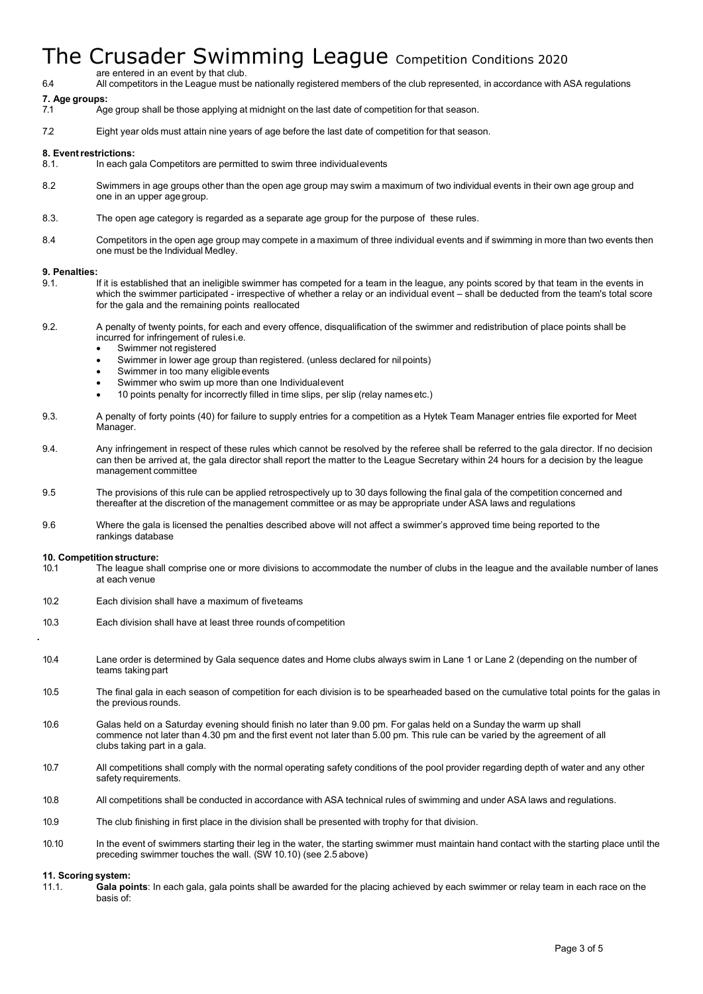are entered in an event by that club.

6.4 All competitors in the League must be nationally registered members of the club represented, in accordance with ASA regulations

# **7. Age groups:**

- 7.1 Age group shall be those applying at midnight on the last date of competition for that season.
- 7.2 Eight year olds must attain nine years of age before the last date of competition for that season.

## **8. Eventrestrictions:**

- 8.1. In each gala Competitors are permitted to swim three individualevents
- 8.2 Swimmers in age groups other than the open age group may swim a maximum of two individual events in their own age group and one in an upper agegroup.
- 8.3. The open age category is regarded as a separate age group for the purpose of these rules.
- 8.4 Competitors in the open age group may compete in a maximum of three individual events and if swimming in more than two events then one must be the Individual Medley.

### **9. Penalties:**

- 9.1. If it is established that an ineligible swimmer has competed for a team in the league, any points scored by that team in the events in which the swimmer participated - irrespective of whether a relay or an individual event – shall be deducted from the team's total score for the gala and the remaining points reallocated
- 9.2. A penalty of twenty points, for each and every offence, disqualification of the swimmer and redistribution of place points shall be incurred for infringement of rulesi.e.
	- Swimmer not registered
	- Swimmer in lower age group than registered. (unless declared for nilpoints)
	- Swimmer in too many eligible events
	- Swimmer who swim up more than one Individualevent
	- 10 points penalty for incorrectly filled in time slips, per slip (relay namesetc.)
- 9.3. A penalty of forty points (40) for failure to supply entries for a competition as a Hytek Team Manager entries file exported for Meet Manager.
- 9.4. Any infringement in respect of these rules which cannot be resolved by the referee shall be referred to the gala director. If no decision can then be arrived at, the gala director shall report the matter to the League Secretary within 24 hours for a decision by the league management committee
- 9.5 The provisions of this rule can be applied retrospectively up to 30 days following the final gala of the competition concerned and thereafter at the discretion of the management committee or as may be appropriate under ASA laws and regulations
- 9.6 Where the gala is licensed the penalties described above will not affect a swimmer's approved time being reported to the rankings database

### **10. Competition structure:**

.

- 10.1 The league shall comprise one or more divisions to accommodate the number of clubs in the league and the available number of lanes at each venue
- 10.2 Each division shall have a maximum of fiveteams
- 10.3 Each division shall have at least three rounds of competition
- 10.4 Lane order is determined by Gala sequence dates and Home clubs always swim in Lane 1 or Lane 2 (depending on the number of teams taking part
- 10.5 The final gala in each season of competition for each division is to be spearheaded based on the cumulative total points for the galas in the previous rounds.
- 10.6 Galas held on a Saturday evening should finish no later than 9.00 pm. For galas held on a Sunday the warm up shall commence not later than 4.30 pm and the first event not later than 5.00 pm. This rule can be varied by the agreement of all clubs taking part in a gala.
- 10.7 All competitions shall comply with the normal operating safety conditions of the pool provider regarding depth of water and any other safety requirements.
- 10.8 All competitions shall be conducted in accordance with ASA technical rules of swimming and under ASA laws and regulations.
- 10.9 The club finishing in first place in the division shall be presented with trophy for that division.
- 10.10 In the event of swimmers starting their leg in the water, the starting swimmer must maintain hand contact with the starting place until the preceding swimmer touches the wall. (SW 10.10) (see 2.5 above)

### **11. Scoring system:**

11.1. **Gala points**: In each gala, gala points shall be awarded for the placing achieved by each swimmer or relay team in each race on the basis of: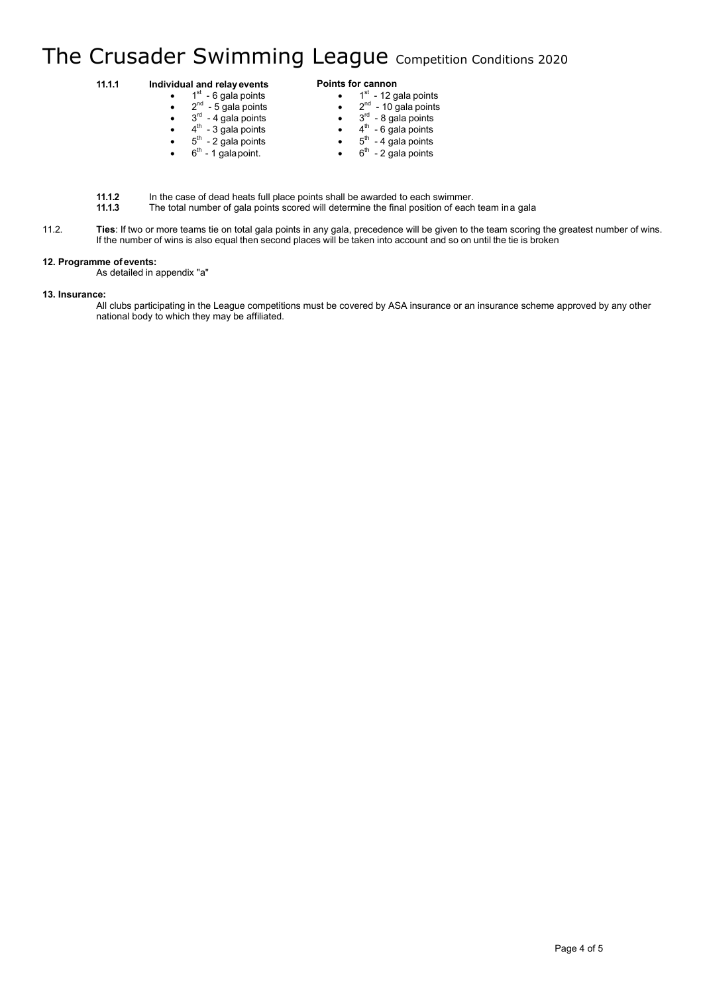#### **11.1.1 Individual and relayevents Points for cannon**

| $\bullet$ | $1st$ - 6 gala points    | $1st$ - 12 gala points          |
|-----------|--------------------------|---------------------------------|
| $\bullet$ | $2^{nd}$ - 5 gala points | $2^{nd}$ - 10 gala points       |
| $\bullet$ | $3rd$ - 4 gala points    | $3rd$ - 8 gala points           |
| $\bullet$ | $4th$ - 3 gala points    | $4^{\text{th}}$ - 6 gala points |
| $\bullet$ | $5th$ - 2 gala points    | $5th$ - 4 gala points           |
| $\bullet$ | $6th$ - 1 gala point.    | $6th$ - 2 gala points           |

**11.1.2** In the case of dead heats full place points shall be awarded to each swimmer.

**11.1.3** The total number of gala points scored will determine the final position of each team ina gala

11.2. **Ties**: If two or more teams tie on total gala points in any gala, precedence will be given to the team scoring the greatest number of wins. If the number of wins is also equal then second places will be taken into account and so on until the tie is broken

# **12. Programme of events:**

As detailed in appendix "a"

### **13. Insurance:**

All clubs participating in the League competitions must be covered by ASA insurance or an insurance scheme approved by any other national body to which they may be affiliated.